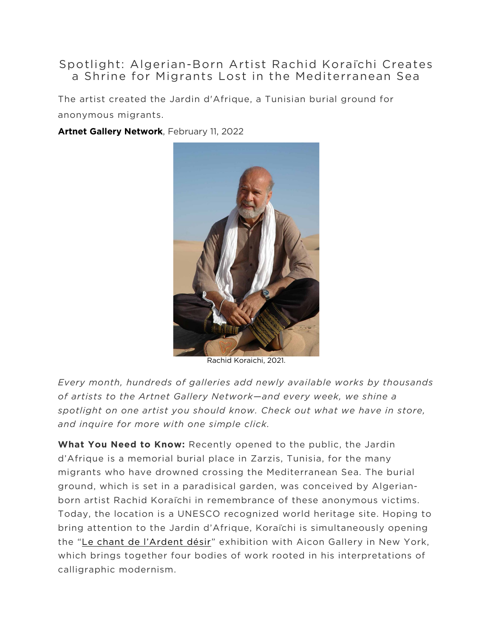## Spotlight: Algerian-Born Artist Rachid Koraïchi Creates a Shrine for Migrants Lost in the Mediterranean Sea

The artist created the Jardin d'Afrique, a Tunisian burial ground for anonymous migrants.

## **[Artnet Gallery Network](https://news.artnet.com/about/artnet-gallery-network-737)**, February 11, 2022



Rachid Koraichi, 2021.

*Every month, hundreds of galleries add newly available works by thousands of artists to the Artnet Gallery Network—and every week, we shine a*  spotlight on one artist you should know. Check out what we have in store, *and inquire for more with one simple click.*

**What You Need to Know:** Recently opened to the public, the Jardin d'Afrique is a memorial burial place in Zarzis, Tunisia, for the many migrants who have drowned crossing the Mediterranean Sea. The burial ground, which is set in a paradisical garden, was conceived by Algerianborn artist Rachid Koraïchi in remembrance of these anonymous victims. Today, the location is a UNESCO recognized world heritage site. Hoping to bring attention to the Jardin d'Afrique, Koraïchi is simultaneously opening the ["Le chant de l'Ardent désir"](http://www.aicongallery.com/exhibitions/rachid-koraichi-le-chant-de-lardent-desir) exhibition with Aicon Gallery in New York, which brings together four bodies of work rooted in his interpretations of calligraphic modernism.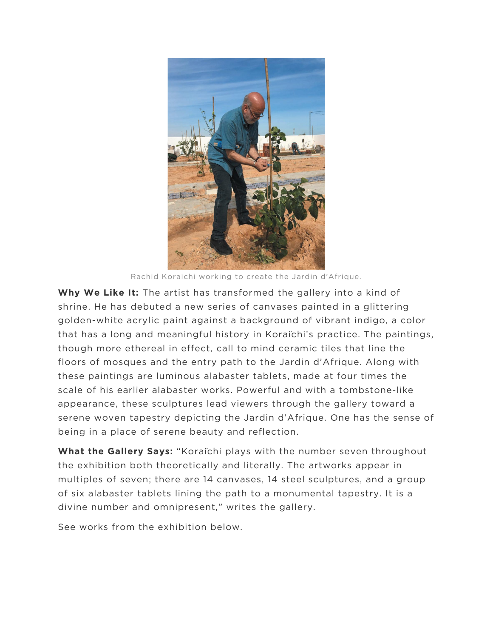

Rachid Koraichi working to create the Jardin d'Afrique.

**Why We Like It:** The artist has transformed the gallery into a kind of shrine. He has debuted a new series of canvases painted in a glittering golden-white acrylic paint against a background of vibrant indigo, a color that has a long and meaningful history in Koraïchi's practice. The paintings, though more ethereal in effect, call to mind ceramic tiles that line the floors of mosques and the entry path to the Jardin d'Afrique. Along with these paintings are luminous alabaster tablets, made at four times the scale of his earlier alabaster works. Powerful and with a tombstone-like appearance, these sculptures lead viewers through the gallery toward a serene woven tapestry depicting the Jardin d'Afrique. One has the sense of being in a place of serene beauty and reflection.

**What the Gallery Says:** "Koraïchi plays with the number seven throughout the exhibition both theoretically and literally. The artworks appear in multiples of seven; there are 14 canvases, 14 steel sculptures, and a group of six alabaster tablets lining the path to a monumental tapestry. It is a divine number and omnipresent," writes the gallery.

See works from the exhibition below.